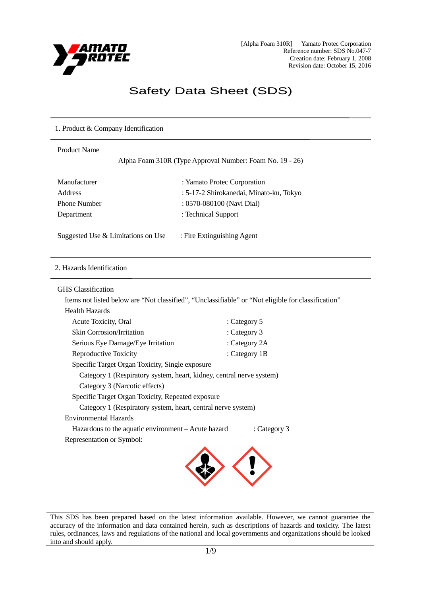

[Alpha Foam 310R] Yamato Protec Corporation Reference number: SDS No.047-7 Creation date: February 1, 2008 Revision date: October 15, 2016

# Safety Data Sheet (SDS)

## 1. Product & Company Identification

# Product Name

Alpha Foam 310R (Type Approval Number: Foam No. 19 - 26)

| Manufacturer        |
|---------------------|
| Address             |
| <b>Phone Number</b> |
| Department          |

: Yamato Protec Corporation : 5-17-2 Shirokanedai, Minato-ku, Tokyo : 0570-080100 (Navi Dial) : Technical Support

Suggested Use & Limitations on Use : Fire Extinguishing Agent

#### 2. Hazards Identification

GHS Classification

Items not listed below are "Not classified", "Unclassifiable" or "Not eligible for classification" Health Hazards

| : Category 5                                                         |
|----------------------------------------------------------------------|
| : Category 3                                                         |
| : Category 2A                                                        |
| : Category 1B                                                        |
| Specific Target Organ Toxicity, Single exposure                      |
| Category 1 (Respiratory system, heart, kidney, central nerve system) |
|                                                                      |
| Specific Target Organ Toxicity, Repeated exposure                    |
| Category 1 (Respiratory system, heart, central nerve system)         |
|                                                                      |
| Hazardous to the aquatic environment – Acute hazard<br>: Category 3  |
|                                                                      |
|                                                                      |

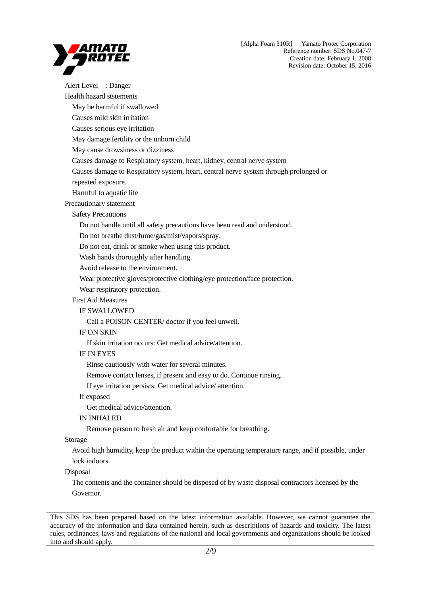

Alert Level : Danger Health hazard ststements May be harmful if swallowed Causes mild skin irritation Causes serious eye irritation May damage fertility or the unborn child May cause drowsiness or dizziness Causes damage to Respiratory system, heart, kidney, central nerve system Causes damage to Respiratory system, heart, central nerve system through prolonged or repeated exposure. Harmful to aquatic life Precautionary statement Safety Precautions Do not handle until all safety precautions have been read and understood. Do not breathe dust/fume/gas/mist/vapors/spray. Do not eat, drink or smoke when using this product. Wash hands thoroughly after handling. Avoid release to the environment. Wear protective gloves/protective clothing/eye protection/face protection. Wear respiratory protection. First Aid Measures IF SWALLOWED Call a POISON CENTER/ doctor if you feel unwell. IF ON SKIN If skin irritation occurs: Get medical advice/attention. IF IN EYES Rinse cautiously with water for several minutes. Remove contact lenses, if present and easy to do. Continue rinsing. If eye irritation persists: Get medical advice/ attention. If exposed Get medical advice/attention. IN INHALED Remove person to fresh air and keep confortable for breathing.

Storage

Avoid high humidity, keep the product within the operating temperature range, and if possible, under lock indoors.

## Disposal

The contents and the container should be disposed of by waste disposal contractors licensed by the Governor.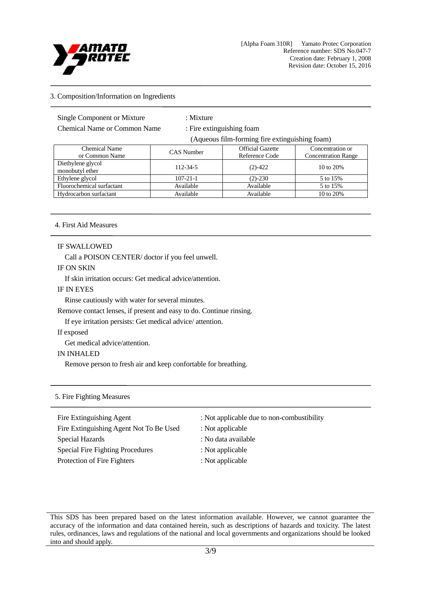

## 3. Composition/Information on Ingredients

Single Component or Mixture : Mixture

Chemical Name or Common Name : Fire extinguishing foam

(Aqueous film-forming fire extinguishing foam)

| <b>Chemical Name</b><br>or Common Name | <b>CAS</b> Number | <b>Official Gazette</b><br>Reference Code | Concentration or<br><b>Concentration Range</b> |
|----------------------------------------|-------------------|-------------------------------------------|------------------------------------------------|
| Diethylene glycol<br>monobutyl ether   | 112-34-5          | $(2) - 422$                               | 10 to 20%                                      |
| Ethylene glycol                        | $107 - 21 - 1$    | $(2) - 230$                               | 5 to 15%                                       |
| Fluorochemical surfactant              | Available         | Available                                 | 5 to 15%                                       |
| Hydrocarbon surfactant                 | Available         | Available                                 | 10 to 20%                                      |

# 4. First Aid Measures

#### IF SWALLOWED

Call a POISON CENTER/ doctor if you feel unwell.

#### IF ON SKIN

If skin irritation occurs: Get medical advice/attention.

#### IF IN EYES

Rinse cautiously with water for several minutes.

Remove contact lenses, if present and easy to do. Continue rinsing.

If eye irritation persists: Get medical advice/ attention.

# If exposed

Get medical advice/attention.

## IN INHALED

Remove person to fresh air and keep confortable for breathing.

#### 5. Fire Fighting Measures

| Fire Extinguishing Agent                                   | : Not applicable due to non-combustibility |
|------------------------------------------------------------|--------------------------------------------|
| Fire Extinguishing Agent Not To Be Used<br>Special Hazards | : Not applicable<br>: No data available    |
| <b>Special Fire Fighting Procedures</b>                    | : Not applicable                           |
| Protection of Fire Fighters                                | : Not applicable                           |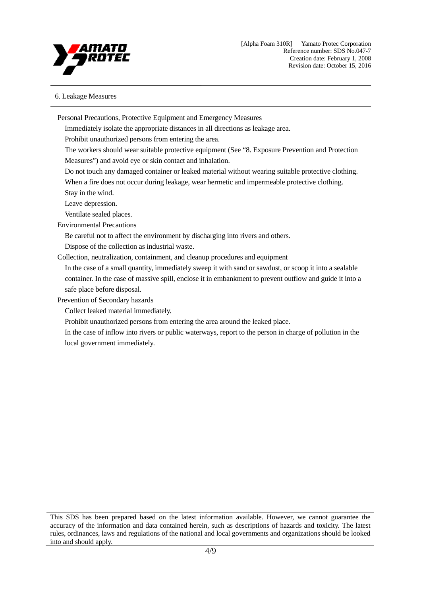

## 6. Leakage Measures

Personal Precautions, Protective Equipment and Emergency Measures Immediately isolate the appropriate distances in all directions as leakage area. Prohibit unauthorized persons from entering the area. The workers should wear suitable protective equipment (See "8. Exposure Prevention and Protection Measures") and avoid eye or skin contact and inhalation. Do not touch any damaged container or leaked material without wearing suitable protective clothing. When a fire does not occur during leakage, wear hermetic and impermeable protective clothing. Stay in the wind. Leave depression. Ventilate sealed places. Environmental Precautions Be careful not to affect the environment by discharging into rivers and others. Dispose of the collection as industrial waste. Collection, neutralization, containment, and cleanup procedures and equipment In the case of a small quantity, immediately sweep it with sand or sawdust, or scoop it into a sealable container. In the case of massive spill, enclose it in embankment to prevent outflow and guide it into a safe place before disposal. Prevention of Secondary hazards Collect leaked material immediately. Prohibit unauthorized persons from entering the area around the leaked place. In the case of inflow into rivers or public waterways, report to the person in charge of pollution in the local government immediately.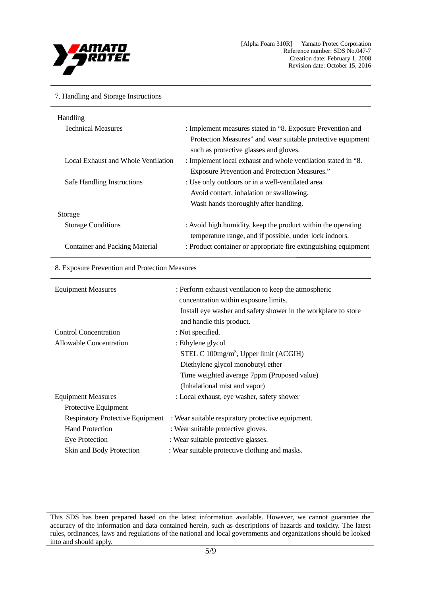

#### 7. Handling and Storage Instructions

| Handling                              |                                                                 |
|---------------------------------------|-----------------------------------------------------------------|
| <b>Technical Measures</b>             | : Implement measures stated in "8. Exposure Prevention and      |
|                                       | Protection Measures" and wear suitable protective equipment     |
|                                       | such as protective glasses and gloves.                          |
| Local Exhaust and Whole Ventilation   | : Implement local exhaust and whole ventilation stated in "8.   |
|                                       | <b>Exposure Prevention and Protection Measures."</b>            |
| Safe Handling Instructions            | : Use only outdoors or in a well-ventilated area.               |
|                                       | Avoid contact, inhalation or swallowing.                        |
|                                       | Wash hands thoroughly after handling.                           |
| Storage                               |                                                                 |
| <b>Storage Conditions</b>             | : Avoid high humidity, keep the product within the operating    |
|                                       | temperature range, and if possible, under lock indoors.         |
| <b>Container and Packing Material</b> | : Product container or appropriate fire extinguishing equipment |
|                                       |                                                                 |

#### 8. Exposure Prevention and Protection Measures

| <b>Equipment Measures</b>               | : Perform exhaust ventilation to keep the atmospheric<br>concentration within exposure limits. |
|-----------------------------------------|------------------------------------------------------------------------------------------------|
|                                         | Install eye washer and safety shower in the workplace to store                                 |
|                                         | and handle this product.                                                                       |
| <b>Control Concentration</b>            | : Not specified.                                                                               |
| <b>Allowable Concentration</b>          | : Ethylene glycol                                                                              |
|                                         | STEL C 100mg/m <sup>3</sup> , Upper limit (ACGIH)                                              |
|                                         | Diethylene glycol monobutyl ether                                                              |
|                                         | Time weighted average 7ppm (Proposed value)                                                    |
|                                         | (Inhalational mist and vapor)                                                                  |
| <b>Equipment Measures</b>               | : Local exhaust, eye washer, safety shower                                                     |
| Protective Equipment                    |                                                                                                |
| <b>Respiratory Protective Equipment</b> | : Wear suitable respiratory protective equipment.                                              |
| <b>Hand Protection</b>                  | : Wear suitable protective gloves.                                                             |
| <b>Eye Protection</b>                   | : Wear suitable protective glasses.                                                            |
| Skin and Body Protection                | : Wear suitable protective clothing and masks.                                                 |

This SDS has been prepared based on the latest information available. However, we cannot guarantee the accuracy of the information and data contained herein, such as descriptions of hazards and toxicity. The latest rules, ordinances, laws and regulations of the national and local governments and organizations should be looked into and should apply.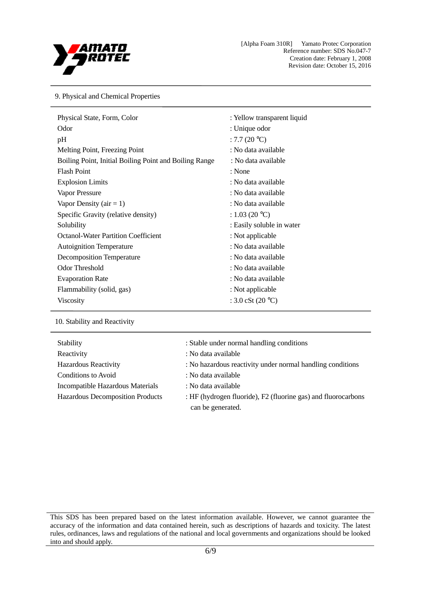

9. Physical and Chemical Properties

| Physical State, Form, Color                            | : Yellow transparent liquid          |
|--------------------------------------------------------|--------------------------------------|
| Odor                                                   | : Unique odor                        |
| pH                                                     | : 7.7 $(20 °C)$                      |
| Melting Point, Freezing Point                          | : No data available                  |
| Boiling Point, Initial Boiling Point and Boiling Range | : No data available                  |
| <b>Flash Point</b>                                     | : None                               |
| <b>Explosion Limits</b>                                | : No data available                  |
| Vapor Pressure                                         | : No data available                  |
| Vapor Density ( $air = 1$ )                            | : No data available                  |
| Specific Gravity (relative density)                    | : 1.03 (20 °C)                       |
| Solubility                                             | : Easily soluble in water            |
| <b>Octanol-Water Partition Coefficient</b>             | : Not applicable                     |
| <b>Autoignition Temperature</b>                        | : No data available                  |
| <b>Decomposition Temperature</b>                       | : No data available                  |
| <b>Odor Threshold</b>                                  | : No data available                  |
| <b>Evaporation Rate</b>                                | : No data available                  |
| Flammability (solid, gas)                              | : Not applicable                     |
| <b>Viscosity</b>                                       | : $3.0 \text{ cSt } (20 \text{ °C})$ |

10. Stability and Reactivity

| Stability                               | : Stable under normal handling conditions                                          |
|-----------------------------------------|------------------------------------------------------------------------------------|
| Reactivity                              | : No data available                                                                |
| <b>Hazardous Reactivity</b>             | : No hazardous reactivity under normal handling conditions                         |
| Conditions to Avoid                     | : No data available                                                                |
| Incompatible Hazardous Materials        | : No data available                                                                |
| <b>Hazardous Decomposition Products</b> | : HF (hydrogen fluoride), F2 (fluorine gas) and fluorocarbons<br>can be generated. |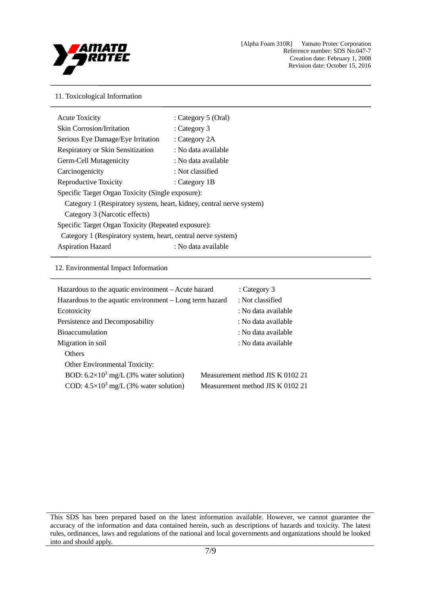

## 11. Toxicological Information

| <b>Acute Toxicity</b>                                                | : Category 5 (Oral) |
|----------------------------------------------------------------------|---------------------|
| <b>Skin Corrosion/Irritation</b>                                     | : Category $3$      |
|                                                                      |                     |
| Serious Eye Damage/Eye Irritation                                    | : Category 2A       |
| <b>Respiratory or Skin Sensitization</b>                             | : No data available |
| Germ-Cell Mutagenicity                                               | : No data available |
| Carcinogenicity                                                      | : Not classified    |
| Reproductive Toxicity                                                | : Category $1B$     |
| Specific Target Organ Toxicity (Single exposure):                    |                     |
| Category 1 (Respiratory system, heart, kidney, central nerve system) |                     |
| Category 3 (Narcotic effects)                                        |                     |
| Specific Target Organ Toxicity (Repeated exposure):                  |                     |
| Category 1 (Respiratory system, heart, central nerve system)         |                     |
| <b>Aspiration Hazard</b>                                             | : No data available |
|                                                                      |                     |

## 12. Environmental Impact Information

| : Category $3$                   |
|----------------------------------|
| : Not classified                 |
| : No data available              |
| : No data available              |
| : No data available              |
| : No data available              |
|                                  |
|                                  |
| Measurement method JIS K 0102 21 |
| Measurement method JIS K 0102 21 |
|                                  |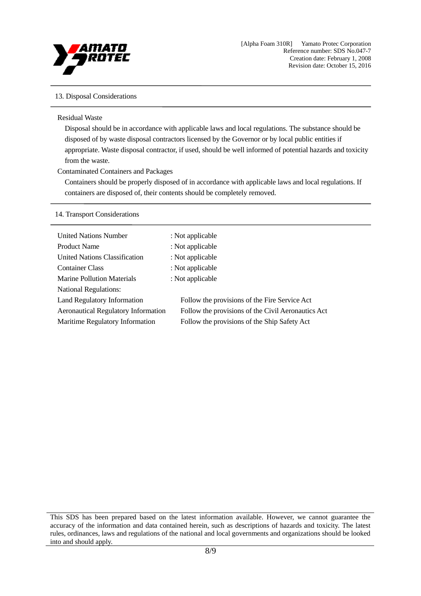

## 13. Disposal Considerations

#### Residual Waste

Disposal should be in accordance with applicable laws and local regulations. The substance should be disposed of by waste disposal contractors licensed by the Governor or by local public entities if appropriate. Waste disposal contractor, if used, should be well informed of potential hazards and toxicity from the waste.

#### Contaminated Containers and Packages

Containers should be properly disposed of in accordance with applicable laws and local regulations. If containers are disposed of, their contents should be completely removed.

#### 14. Transport Considerations

| <b>United Nations Number</b>               | : Not applicable                                   |
|--------------------------------------------|----------------------------------------------------|
| <b>Product Name</b>                        | : Not applicable                                   |
| United Nations Classification              | : Not applicable                                   |
| <b>Container Class</b>                     | : Not applicable                                   |
| <b>Marine Pollution Materials</b>          | : Not applicable                                   |
| <b>National Regulations:</b>               |                                                    |
| Land Regulatory Information                | Follow the provisions of the Fire Service Act      |
| <b>Aeronautical Regulatory Information</b> | Follow the provisions of the Civil Aeronautics Act |
| Maritime Regulatory Information            | Follow the provisions of the Ship Safety Act       |
|                                            |                                                    |